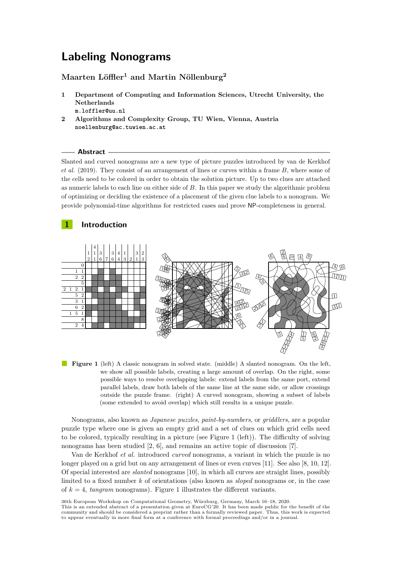# **Labeling Nonograms**

# **Maarten Löffler<sup>1</sup> and Martin Nöllenburg<sup>2</sup>**

- **Department of Computing and Information Sciences, Utrecht University, the Netherlands m.loffler@uu.nl**
- **Algorithms and Complexity Group, TU Wien, Vienna, Austria noellenburg@ac.tuwien.ac.at**

#### **Abstract**

Slanted and curved nonograms are a new type of picture puzzles introduced by van de Kerkhof *et al.* (2019). They consist of an arrangement of lines or curves within a frame *B*, where some of the cells need to be colored in order to obtain the solution picture. Up to two clues are attached as numeric labels to each line on either side of *B*. In this paper we study the algorithmic problem of optimizing or deciding the existence of a placement of the given clue labels to a nonogram. We provide polynomial-time algorithms for restricted cases and prove NP-completeness in general.

## **Introduction**

<span id="page-0-0"></span>

**Figure 1** (left) A classic nonogram in solved state. (middle) A slanted nonogram. On the left, we show all possible labels, creating a large amount of overlap. On the right, some possible ways to resolve overlapping labels: extend labels from the same port, extend parallel labels, draw both labels of the same line at the same side, or allow crossings outside the puzzle frame. (right) A curved nonogram, showing a subset of labels (some extended to avoid overlap) which still results in a unique puzzle.

Nonograms, also known as *Japanese puzzles*, *paint-by-numbers*, or *griddlers*, are a popular puzzle type where one is given an empty grid and a set of clues on which grid cells need to be colored, typically resulting in a picture (see Figure [1](#page-0-0) (left)). The difficulty of solving nonograms has been studied [\[2,](#page-7-0) [6\]](#page-7-1), and remains an active topic of discussion [\[7\]](#page-7-2).

Van de Kerkhof *et al.* introduced *curved* nonograms, a variant in which the puzzle is no longer played on a grid but on any arrangement of lines or even curves [\[11\]](#page-7-3). See also [\[8,](#page-7-4) [10,](#page-7-5) [12\]](#page-7-6). Of special interested are *slanted* nonograms [\[10\]](#page-7-5), in which all curves are straight lines, possibly limited to a fixed number *k* of orientations (also known as *sloped* nonograms or, in the case of  $k = 4$ , *tangram* nonograms). Figure [1](#page-0-0) illustrates the different variants.

36th European Workshop on Computational Geometry, Würzburg, Germany, March 16–18, 2020.

This is an extended abstract of a presentation given at EuroCG'20. It has been made public for the benefit of the community and should be considered a preprint rather than a formally reviewed paper. Thus, this work is expected to appear eventually in more final form at a conference with formal proceedings and/or in a journal.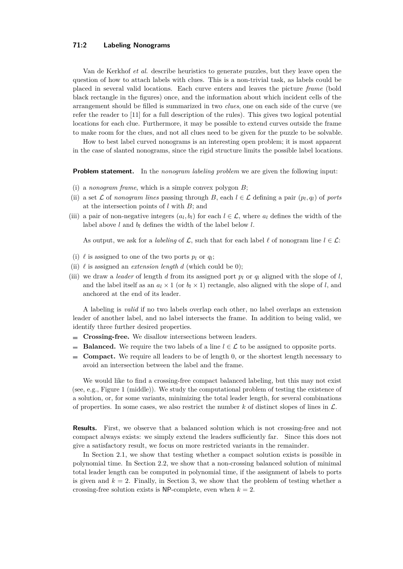#### **71:2 Labeling Nonograms**

Van de Kerkhof *et al.* describe heuristics to generate puzzles, but they leave open the question of how to attach labels with clues. This is a non-trivial task, as labels could be placed in several valid locations. Each curve enters and leaves the picture *frame* (bold black rectangle in the figures) once, and the information about which incident cells of the arrangement should be filled is summarized in two *clues*, one on each side of the curve (we refer the reader to [\[11\]](#page-7-3) for a full description of the rules). This gives two logical potential locations for each clue. Furthermore, it may be possible to extend curves outside the frame to make room for the clues, and not all clues need to be given for the puzzle to be solvable.

How to best label curved nonograms is an interesting open problem; it is most apparent in the case of slanted nonograms, since the rigid structure limits the possible label locations.

**Problem statement.** In the *nonogram labeling problem* we are given the following input:

- (i) a *nonogram frame*, which is a simple convex polygon *B*;
- (ii) a set  $\mathcal{L}$  of *nonogram lines* passing through *B*, each  $l \in \mathcal{L}$  defining a pair  $(p_l, q_l)$  of *ports* at the intersection points of *l* with *B*; and
- (iii) a pair of non-negative integers  $(a_l, b_l)$  for each  $l \in \mathcal{L}$ , where  $a_l$  defines the width of the label above  $l$  and  $b_l$  defines the width of the label below  $l$ .

As output, we ask for a *labeling* of  $\mathcal{L}$ , such that for each label  $\ell$  of nonogram line  $l \in \mathcal{L}$ :

- (i)  $\ell$  is assigned to one of the two ports  $p_l$  or  $q_l$ ;
- (ii)  $\ell$  is assigned an *extension length d* (which could be 0);
- (iii) we draw a *leader* of length *d* from its assigned port  $p_l$  or  $q_l$  aligned with the slope of *l*, and the label itself as an  $a_l \times 1$  (or  $b_l \times 1$ ) rectangle, also aligned with the slope of *l*, and anchored at the end of its leader.

A labeling is *valid* if no two labels overlap each other, no label overlaps an extension leader of another label, and no label intersects the frame. In addition to being valid, we identify three further desired properties.

- **Crossing-free.** We disallow intersections between leaders.
- **Balanced.** We require the two labels of a line  $l \in \mathcal{L}$  to be assigned to opposite ports. m.
- **Compact.** We require all leaders to be of length 0, or the shortest length necessary to  $\sim$ avoid an intersection between the label and the frame.

We would like to find a crossing-free compact balanced labeling, but this may not exist (see, e.g., Figure [1](#page-0-0) (middle)). We study the computational problem of testing the existence of a solution, or, for some variants, minimizing the total leader length, for several combinations of properties. In some cases, we also restrict the number  $k$  of distinct slopes of lines in  $\mathcal{L}$ .

**Results.** First, we observe that a balanced solution which is not crossing-free and not compact always exists: we simply extend the leaders sufficiently far. Since this does not give a satisfactory result, we focus on more restricted variants in the remainder.

In Section [2.1,](#page-2-0) we show that testing whether a compact solution exists is possible in polynomial time. In Section [2.2,](#page-2-1) we show that a non-crossing balanced solution of minimal total leader length can be computed in polynomial time, if the assignment of labels to ports is given and  $k = 2$ . Finally, in Section [3,](#page-3-0) we show that the problem of testing whether a crossing-free solution exists is NP-complete, even when  $k = 2$ .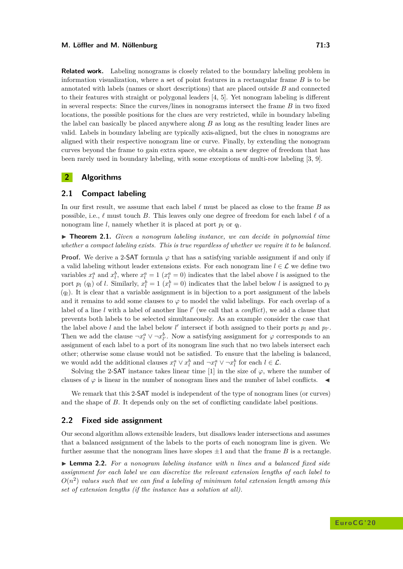**Related work.** Labeling nonograms is closely related to the boundary labeling problem in information visualization, where a set of point features in a rectangular frame *B* is to be annotated with labels (names or short descriptions) that are placed outside *B* and connected to their features with straight or polygonal leaders [\[4,](#page-7-7) [5\]](#page-7-8). Yet nonogram labeling is different in several respects: Since the curves/lines in nonograms intersect the frame *B* in two fixed locations, the possible positions for the clues are very restricted, while in boundary labeling the label can basically be placed anywhere along *B* as long as the resulting leader lines are valid. Labels in boundary labeling are typically axis-aligned, but the clues in nonograms are aligned with their respective nonogram line or curve. Finally, by extending the nonogram curves beyond the frame to gain extra space, we obtain a new degree of freedom that has been rarely used in boundary labeling, with some exceptions of multi-row labeling [\[3,](#page-7-9) [9\]](#page-7-10).

## **2 Algorithms**

#### <span id="page-2-0"></span>**2.1 Compact labeling**

In our first result, we assume that each label  $\ell$  must be placed as close to the frame *B* as possible, i.e.,  $\ell$  must touch *B*. This leaves only one degree of freedom for each label  $\ell$  of a nonogram line *l*, namely whether it is placed at port  $p_l$  or  $q_l$ .

<span id="page-2-3"></span> $\triangleright$  **Theorem 2.1.** *Given a nonogram labeling instance, we can decide in polynomial time whether a compact labeling exists. This is true regardless of whether we require it to be balanced.*

**Proof.** We derive a 2-SAT formula  $\varphi$  that has a satisfying variable assignment if and only if a valid labeling without leader extensions exists. For each nonogram line  $l \in \mathcal{L}$  we define two variables  $x_l^a$  and  $x_l^b$ , where  $x_l^a = 1$  ( $x_l^a = 0$ ) indicates that the label above *l* is assigned to the port  $p_l$  ( $q_l$ ) of *l*. Similarly,  $x_l^b = 1$  ( $x_l^b = 0$ ) indicates that the label below *l* is assigned to  $p_l$  $(q_l)$ . It is clear that a variable assignment is in bijection to a port assignment of the labels and it remains to add some clauses to  $\varphi$  to model the valid labelings. For each overlap of a label of a line *l* with a label of another line *l'* (we call that a *conflict*), we add a clause that prevents both labels to be selected simultaneously. As an example consider the case that the label above *l* and the label below *l'* intersect if both assigned to their ports  $p_l$  and  $p_l$ . Then we add the clause  $\neg x_l^a \vee \neg x_{l'}^b$ . Now a satisfying assignment for  $\varphi$  corresponds to an assignment of each label to a port of its nonogram line such that no two labels intersect each other; otherwise some clause would not be satisfied. To ensure that the labeling is balanced, we would add the additional clauses  $x_l^a \vee x_l^b$  and  $\neg x_l^a \vee \neg x_l^b$  for each  $l \in \mathcal{L}$ .

Solving the 2-SAT instance takes linear time [\[1\]](#page-6-0) in the size of  $\varphi$ , where the number of clauses of  $\varphi$  is linear in the number of nonogram lines and the number of label conflicts.  $\blacktriangleleft$ 

We remark that this 2-SAT model is independent of the type of nonogram lines (or curves) and the shape of *B*. It depends only on the set of conflicting candidate label positions.

#### <span id="page-2-1"></span>**2.2 Fixed side assignment**

Our second algorithm allows extensible leaders, but disallows leader intersections and assumes that a balanced assignment of the labels to the ports of each nonogram line is given. We further assume that the nonogram lines have slopes  $\pm 1$  and that the frame *B* is a rectangle.

<span id="page-2-2"></span>I **Lemma 2.2.** *For a nonogram labeling instance with n lines and a balanced fixed side assignment for each label we can discretize the relevant extension lengths of each label to*  $O(n^2)$  values such that we can find a labeling of minimum total extension length among this *set of extension lengths (if the instance has a solution at all).*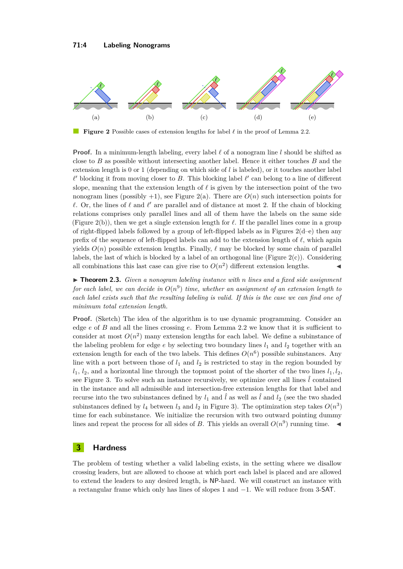<span id="page-3-1"></span>

**Figure 2** Possible cases of extension lengths for label  $\ell$  in the proof of Lemma [2.2.](#page-2-2)

**Proof.** In a minimum-length labeling, every label  $\ell$  of a nonogram line  $l$  should be shifted as close to *B* as possible without intersecting another label. Hence it either touches *B* and the extension length is 0 or 1 (depending on which side of *l* is labeled), or it touches another label  $\ell'$  blocking it from moving closer to *B*. This blocking label  $\ell'$  can belong to a line of different slope, meaning that the extension length of  $\ell$  is given by the intersection point of the two nonogram lines (possibly  $+1$ ), see Figure [2\(](#page-3-1)a). There are  $O(n)$  such intersection points for  $\ell$ . Or, the lines of  $\ell$  and  $\ell'$  are parallel and of distance at most 2. If the chain of blocking relations comprises only parallel lines and all of them have the labels on the same side (Figure [2\(](#page-3-1)b)), then we get a single extension length for  $\ell$ . If the parallel lines come in a group of right-flipped labels followed by a group of left-flipped labels as in Figures  $2(d-e)$  then any prefix of the sequence of left-flipped labels can add to the extension length of  $\ell$ , which again yields  $O(n)$  possible extension lengths. Finally,  $\ell$  may be blocked by some chain of parallel labels, the last of which is blocked by a label of an orthogonal line (Figure  $2(c)$ ). Considering all combinations this last case can give rise to  $O(n^2)$  different extension lengths.

▶ **Theorem 2.3.** *Given a nonogram labeling instance with n lines and a fixed side assignment* for each label, we can decide in  $O(n^9)$  time, whether an assignment of an extension length to *each label exists such that the resulting labeling is valid. If this is the case we can find one of minimum total extension length.*

**Proof.** (Sketch) The idea of the algorithm is to use dynamic programming. Consider an edge *e* of *B* and all the lines crossing *e*. From Lemma [2.2](#page-2-2) we know that it is sufficient to consider at most  $O(n^2)$  many extension lengths for each label. We define a subinstance of the labeling problem for edge  $e$  by selecting two boundary lines  $l_1$  and  $l_2$  together with an extension length for each of the two labels. This defines  $O(n^6)$  possible subinstances. Any line with a port between those of  $l_1$  and  $l_2$  is restricted to stay in the region bounded by  $l_1$ ,  $l_2$ , and a horizontal line through the topmost point of the shorter of the two lines  $l_1$ ,  $l_2$ , see Figure [3.](#page-4-0) To solve such an instance recursively, we optimize over all lines  $\hat{l}$  contained in the instance and all admissible and intersection-free extension lengths for that label and recurse into the two subinstances defined by  $l_1$  and  $\hat{l}$  as well as  $\hat{l}$  and  $l_2$  (see the two shaded subinstances defined by  $l_4$  between  $l_3$  and  $l_2$  in Figure [3\)](#page-4-0). The optimization step takes  $O(n^3)$ time for each subinstance. We initialize the recursion with two outward pointing dummy lines and repeat the process for all sides of *B*. This yields an overall  $O(n^9)$  running time.

### <span id="page-3-0"></span>**3 Hardness**

The problem of testing whether a valid labeling exists, in the setting where we disallow crossing leaders, but are allowed to choose at which port each label is placed and are allowed to extend the leaders to any desired length, is NP-hard. We will construct an instance with a rectangular frame which only has lines of slopes 1 and −1. We will reduce from 3-SAT.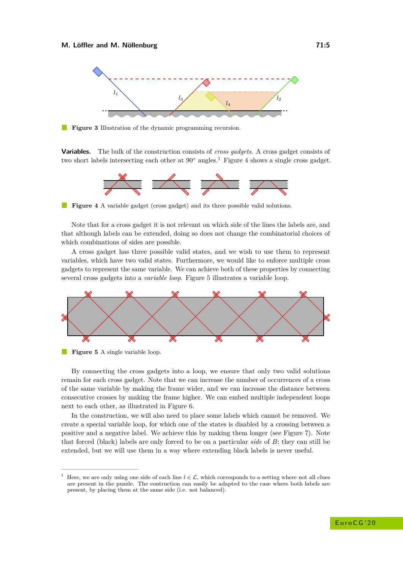<span id="page-4-0"></span>

**Figure 3** Illustration of the dynamic programming recursion.

<span id="page-4-2"></span>**Variables.** The bulk of the construction consists of *cross gadgets*. A cross gadget consists of two short labels intersecting each other at 90◦ angles.[1](#page-4-1) Figure [4](#page-4-2) shows a single cross gadget.



**Figure 4** A variable gadget (cross gadget) and its three possible valid solutions.

Note that for a cross gadget it is not relevant on which side of the lines the labels are, and that although labels can be extended, doing so does not change the combinatorial choices of which combinations of sides are possible.

A cross gadget has three possible valid states, and we wish to use them to represent variables, which have two valid states. Furthermore, we would like to enforce multiple cross gadgets to represent the same variable. We can achieve both of these properties by connecting several cross gadgets into a *variable loop*. Figure [5](#page-4-3) illustrates a variable loop.

<span id="page-4-3"></span>



By connecting the cross gadgets into a loop, we ensure that only two valid solutions remain for each cross gadget. Note that we can increase the number of occurrences of a cross of the same variable by making the frame wider, and we can increase the distance between consecutive crosses by making the frame higher. We can embed multiple independent loops next to each other, as illustrated in Figure [6.](#page-5-0)

In the construction, we will also need to place some labels which cannot be removed. We create a special variable loop, for which one of the states is disabled by a crossing between a positive and a negative label. We achieve this by making them longer (see Figure [7\)](#page-5-1). Note that forced (black) labels are only forced to be on a particular *side* of *B*; they can still be extended, but we will use them in a way where extending black labels is never useful.

<span id="page-4-1"></span>Here, we are only using one side of each line  $l \in \mathcal{L}$ , which corresponds to a setting where not all clues are present in the puzzle. The contruction can easily be adapted to the case where both labels are present, by placing them at the same side (i.e. not balanced).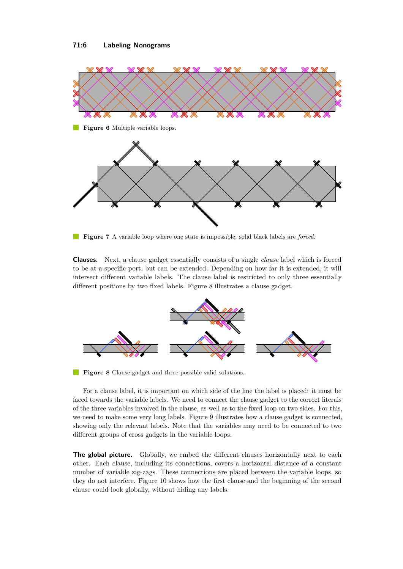<span id="page-5-0"></span>

<span id="page-5-1"></span>

**Figure 7** A variable loop where one state is impossible; solid black labels are *forced*.

**Clauses.** Next, a clause gadget essentially consists of a single *clause* label which is forced to be at a specific port, but can be extended. Depending on how far it is extended, it will intersect different variable labels. The clause label is restricted to only three essentially different positions by two fixed labels. Figure [8](#page-5-2) illustrates a clause gadget.

<span id="page-5-2"></span>

**Figure 8** Clause gadget and three possible valid solutions.

For a clause label, it is important on which side of the line the label is placed: it must be faced towards the variable labels. We need to connect the clause gadget to the correct literals of the three variables involved in the clause, as well as to the fixed loop on two sides. For this, we need to make some very long labels. Figure [9](#page-6-1) illustrates how a clause gadget is connected, showing only the relevant labels. Note that the variables may need to be connected to two different groups of cross gadgets in the variable loops.

**The global picture.** Globally, we embed the different clauses horizontally next to each other. Each clause, including its connections, covers a horizontal distance of a constant number of variable zig-zags. These connections are placed between the variable loops, so they do not interfere. Figure [10](#page-6-2) shows how the first clause and the beginning of the second clause could look globally, without hiding any labels.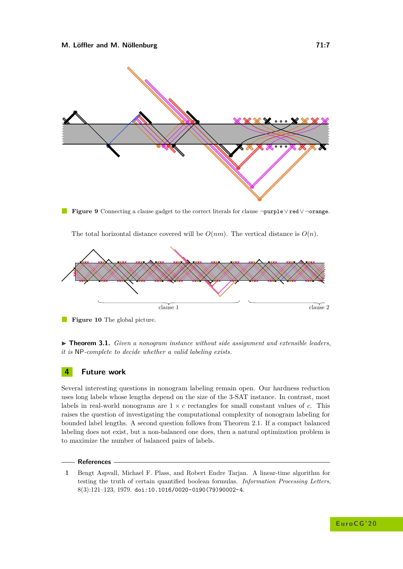<span id="page-6-1"></span>

**Figure 9** Connecting a clause gadget to the correct literals for clause ¬purple∨red∨ ¬orange.



<span id="page-6-2"></span>

**Figure 10** The global picture.

I **Theorem 3.1.** *Given a nonogram instance without side assignment and extensible leaders, it is* NP*-complete to decide whether a valid labeling exists.*

### **4 Future work**

Several interesting questions in nonogram labeling remain open. Our hardness reduction uses long labels whose lengths depend on the size of the 3-SAT instance. In contrast, most labels in real-world nonograms are  $1 \times c$  rectangles for small constant values of *c*. This raises the question of investigating the computational complexity of nonogram labeling for bounded label lengths. A second question follows from Theorem [2.1.](#page-2-3) If a compact balanced labeling does not exist, but a non-balanced one does, then a natural optimization problem is to maximize the number of balanced pairs of labels.

#### **References**

<span id="page-6-0"></span>**1** Bengt Aspvall, Michael F. Plass, and Robert Endre Tarjan. A linear-time algorithm for testing the truth of certain quantified boolean formulas. *Information Processing Letters*, 8(3):121–123, 1979. [doi:10.1016/0020-0190\(79\)90002-4](http://dx.doi.org/10.1016/0020-0190(79)90002-4).